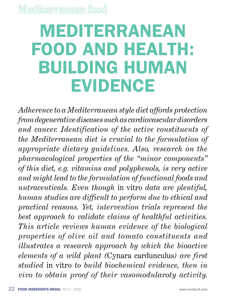# **MEDITERRANEAN FOOD AND HEALTH: BUILDING HUMAN EVIDENCE**

*Adherence to a Mediterranean style diet affords protection from degenerative diseases such as cardiovascular disorders and cancer. Identification of the active constituents of the Mediterranean diet is crucial to the formulation of appropriate dietary guidelines. Also, research on the pharmacological properties of the "minor components" of this diet, e.g. vitamins and polyphenols, is very active and might lead to the formulation of functional foods and nutraceuticals. Even though* in vitro *data are plentiful, human studies are difficult to perform due to ethical and practical reasons. Yet, intervention trials represent the best approach to validate claims of healthful activities. This article reviews human evidence of the biological properties of olive oil and tomato constituents and illustrates a research approach by which the bioactive elements of a wild plant (*Cynara cardunculus*) are first studied* in vitro *to build biochemical evidence, then in vivo to obtain proof of their vasomodularoty activity.*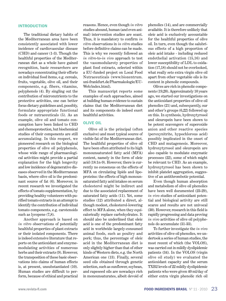### **Introduction**

The traditional dietary habits of the Mediterranean area have been consistently associated with lower incidence of cardiovascular disease (CHD) and cancer (1-3). Though the healthful properties of the Mediterranean diet as a whole have gained recognition, basic researchers are nowadays concentrating their efforts on individual food items, e.g. cereals, fruits, vegetable, olive oil, and their components, e.g. fibers, vitamins, polyphenols (4). By singling out the contribution of micronutrients to the protective activities, one can better focus dietary guidelines and, possibly, formulate appropriate functional foods or nutraceuticals (5). As an example, olive oil and tomato consumption have been linked to CHD and chemoprotection, but biochemical studies of their components are still accumulating. In this respect, we pioneered research on the biological properties of olive oil polyphenols, whose wide range of pharmacological activities might provide a partial explanation for the high longevity and low incidence of degenerative diseases observed in the Mediterranean basin, where olive oil is the predominant source of fat (6). Moreover, in recent research we investigated the effects of tomato supplementation, by providing healthy volunteers with purified tomato extracts in an attempt to identify the contribution of individual tomato components, e.g. carotenoids such as lycopene (7,8).

Another approach is based on *in vitro* observations of potentially healthful properties of plant extracts or their isolated components. There is indeed extensive literature that reports on the antioxidant and enzymemodulating activities of numerous herbs and their extracts (9). However, the transposition of these basic observations into claims of human effects is, at present, unsubstantiated (10). Human studies are difficult to perform, because of ethical and practical

reasons. Hence, even though *in vitro* studies abound, human (and even animal) intervention studies are scant. Thus, it is mandatory to confirm *in vitro* observations in *in vitro* studies before definitive claims can be made. This is why we recently followed an *in vitro*-to-*in vivo* approach to test the vasomodularoty properties of plant food extracts, selected within a EU-funded project on Local Food Nutraceuticals (www.biozentrum. uni-frankfurt.de/Pharmakologie/EU-Web/index.html).

This manuscript reports some examples of such approaches, aimed at building human evidence to sustain claims that the Mediterranean diet and its components do indeed exert healthful activities.

#### **Olive oil**

Olive oil is the principal (often exclusive) and most typical source of visible fat of the Mediterranean diet. The healthful properties of olive oil have been often attributed to its high monounsaturated fatty acid (MFA) content, namely in the form of oleic acid (18:1n-9). However, there is currently no consensus on the effects of MFA on circulating lipids and lipoproteins: the effects of high monounsaturated fatty acid intakes on serum cholesterol might be indirect and due to the associated replacement of saturated fatty acids (11). Yet, some studies (12) attributed a direct, although modest, cholesterol-lowering effect to MFA alone, when they equicalorically replace carbohydrates. It should also be underlined that oleic acid is one of the predominant fatty acid in worldwide largely-consumed animal foods, such as poultry and pork; thus, the percentage of oleic acid in the Mediterranean diet is only slightly higher than that of other kinds of Western diets, e.g. the North American one (13). Finally, several seed oils obtained through genetic selection, such as sunflower, soybean, and rapeseed oils are nowadays rich in monounsaturates, albeit devoid of

phenolics (14), and are commercially available. It is therefore unlikely that oleic acid is exclusively accountable for the healthful properties of olive oil. In turn, even though the salubrious effects of a high proportion of oleic acid intake - including reduced endothelial activation (15,16) and lower susceptibility of LDL to oxidation (17,18) should not be overlooked, what really sets extra virgin olive oil apart from other vegetable oils is its content in phenolic compounds.

Olives are rich in phenolic components (19,20). Approximately 10 years ago, we started our investigations on the antioxidant properties of olive oil phenolics (21) and, subsequently, our and other's groups (6,22) followed up on this. In synthesis, hydroxytyrosol and oleuropein have been shown to be potent scavengers of superoxide anion and other reactive species (peroxynitrite, hypochlorous acid) possibly implicated in the onset of CHD and mutagenesis. Moreover, hydroxytyrosol and oleuropein are also capable to modulate enzymatic processes (22), some of which might be relevant to CHD. As an example, hydroxytyrosol has been shown to inhibit platelet aggregation, suggestive of an antithrombotic potential.

Even though human absorption and metabolism of olive oil phenolics have been well documented (23-29), *in vivo* studies of antioxidant potential and biological activity are still scarce and results are not univocal (30). However, research in this field is rapidly progressing and data proving *in vivo* activities of olive oil polyphenols do accumulate (31-33).

To further investigate the *in vivo* activities of olive oil phenolics, we undertook a series of human studies, the most recent of which (the VOLOS), was carried out in mildly dyslipidemic patients (34). In the VOLOS (virgin olive oil study) we evaluated the antioxidant capacity and the serum TXB2 levels of 22 mildly dyslipidemic patients who were given 40 ml/day of either extra virgin phenolic rich oil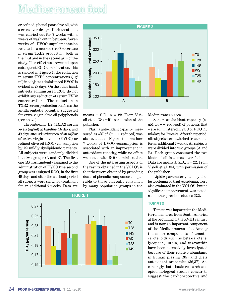# Mediterranean food

or refined, phenol poor olive oil, with a cross over design. Each treatment was carried out for 7 weeks with 4 weeks of wash out in between. Seven weeks of EVOO supplementation resulted in a marked (-20%) decrease in serum TXB2 production, both in the first and in the second arm of the study. This effect was reverted upon subsequent ROO administration. This is showed in Figure 1: the reduction in serum TXB2 concentrations  $(\mu \mathbf{g})$ ml) in subjects administered EVOO is evident at 28 days. On the other hand, subjects administered ROO do not exhibit any reduction of serum TXB2 concentrations. The reduction in TXB2 serum production confirms the antithrombotic potential suggested for extra virgin olive oil polyphenols (see above).

Thromboxane B2 (TXB2) serum levels  $(\mu\gamma/m)$  at baseline, 28 days, and 49 days after administration of 40 ml/day of extra virgin olive oil (EVOO) or refined olive oil (ROO) consumption by 22 mildly dyslipidemic patients. All subjects were randomly divided into two groups (A and B). The first one (A) was randomly assigned to the administration of EVOO (the second group was assigned ROO) in the first 49 days and after the washout period all subjects were switched treatment for an additional 7 weeks. Data are



means  $\pm$  S.D., n = 22. From Visioli et al. (34) with permission of the publisher.

Plasma antioxidant capacity (measured as  $\mu$ M of Cu++ reduced) was also evaluated. Figure 2 shows how 7 weeks of EVOO consumption is associated with an improvement in antioxidant capacity, while no effect was noted with ROO administration.

One of the interesting aspects of the results obtained in the VOLOS is that they were obtained by providing doses of phenolic compounds comparable to those currently consumed by many population groups in the

**FIGURE 1 TBX<sub>2</sub>** (µg/ml serum) µ**g/ml serum)** 0,27  $\blacksquare$ TO  $\blacksquare$ T28  $\blacksquare$ T49 W0 ■T28  $\blacksquare$ T49 0,25 0,23 0,21 0,19 0,17 0,15

Mediterranean area.

Serum antioxidant capacity (as  $\mu$ M Cu++ reduced) of patients that were administered EVOO or ROO (40 ml/day) for 7 weeks. After that period, all subjects were switched treatments for an additional 7 weeks. All subjects were divided into two groups (A and B). Each group consumed the two kinds of oil in a crossover fashion. Data are means  $\pm$  S.D., n = 22. From Visioli et al. (34) with permission of the publisher.

Lipidic parameters, namely cholesterolemia ad triglyceridemia, were also evaluated in the VOLOS, but no significant improvement was noted, as in other previous studies (32).

### **Tomato**

Tomato was imported in the Mediterranean area from South America at the beginning of the XVIII century and is now an important component of the Mediterranean diet. Among the minor components of tomato, carotenoids such as beta-carotene, lycopene, lutein, and zeaxanthin have been extensively investigated because of their relative abundance in human plasma (35) and their antioxidant properties (36,37). Accordingly, both basic research and epidemiological studies concur to suggest the cardioprotective and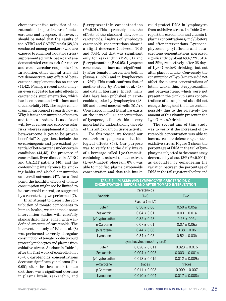chemopreventive activities of carotenoids, in particular of betacarotene and lycopene. However, it should be noted that the results of the ATBC and CARET trials (38,39) conducted among smokers (who are exposed to enhanced oxidative stress) supplemented with beta-carotene demonstrated excess risk for cancer and cardiovascular endpoints (40). In addition, other clinical trials did not demonstrate any effect of betacarotene supplementation on cancer (41,42). Finally, a recent meta-analysis even suggested harmful effects of carotenoids supplementation, which has been associated with increased total mortality (43). The major conundrum in carotenoid research now is: Why is it that consumption of tomato and tomato products is associated with lower cancer and cardiovascular risks whereas supplementation with beta-carotene is yet to be proven beneficial? Suggestions include the co-carcinogenic and pro-oxidant potential of beta-carotene under certain conditions (44,45), the presence of concomitant liver disease in ATBC and CARET patients (46), and the confounding interference by smoking habits and alcohol consumption on overall outcomes (47). As a final point, the healthful effects of tomato consumption might not be limited to its carotenoid content, as suggested by a recent study we performed (7).

In an attempt to discern the contribution of tomato components to human health, we undertook some intervention studies with carefully standardized diets, added with welldefined amounts of carotenoids. The intervention study of Riso et al. (8) was performed to verify if regular consumption of tomato products could protect lymphocytes and plasma from oxidative stress. As show in Table 1, after the first week of controlled diet  $(t=0)$ , carotenoids concentrations decrease significantly in plasma (P< 0.05); after the three-week tomato diet there was a significant decrease in plasma lutein, zeaxanthin, and

β-cryptoxanthin concentrations  $(P<0.01)$ . This is probably due to the effects of the standard diet, low in carotenoids. Analysis of lymphocyte carotenoids concentrations showed a slight decrease (between 10% and 30%), but that was significant only for zeaxanthin  $(P<0.01)$  and β-cryptoxanthin (P<0.05). Lycopene concentrations increased significantly after tomato intervention both in plasma (+53%) and in lymphocytes  $(+72%)$ . This result confirms that of another study by Porrini et al. (48) and data in literature. In fact, many data have been published on carotenoids uptake by lymphocytes (48- 50) and buccal mucosal cells (51,52). Conversely, limited literature exists on the intracellular concentrations of lycopene, although this is very important for understanding the role of this antioxidant on tissue activity.

For this reason, we focused our research on lycopene and its biological effects (53). Our purpose was to verify that the daily intake of a beverage called Lyc-O-mato®, containing a natural tomato extract (Lyc-O-mato® oleoresin 6%), was able to modified plasma carotenoids concentration and that this intake

could protect DNA in lymphocytes from oxidative stress. In Table 2 we report the carotenoids and vitamin E plasma concentrations (µmol/l) before and after interventions. Lycopene, phytoene, phytofluene and betacarotene concentrations increased significantly by about 68%, 92%, 61%, and 28%, respectively, after 26 days of Lyc-O-mato® drinking, but not after placebo intake. Conversely, the consumption of Lyc-O-mato® did not affect the plasma concentrations of lutein, zeaxanthin, β-cryptoxanthin and beta-carotene, which were not present in the drink; plasma concentrations of a tocopherol also did not change throughout the intervention, possibly due to the relatively low amount of this vitamin present in the Lyc-O-mato® drink.

The second aim of this study was to verify if the increased of carotenoids concentration was able to increase cellular defences against the oxidative stress. Figure 3 shows the percentage of DNA in the tail of lymphocytes subjected to the comet assay decreased by about  $42\%$  (P<0.0001), as calculated by considering the variation between the percentage of DNA in the tail registered before and

| TABLE 1 – PLASMA AND LYMPHOCYTE CAROTENOIDS C<br><b>ONCENTRATIONS BEFORE AND AFTER TOMATO INTERVENTION</b> |                   |                     |  |  |  |  |  |  |  |
|------------------------------------------------------------------------------------------------------------|-------------------|---------------------|--|--|--|--|--|--|--|
| Caratenoids                                                                                                |                   |                     |  |  |  |  |  |  |  |
| Variable                                                                                                   | $T=0$             | $T = 21$            |  |  |  |  |  |  |  |
| Plasma ( mol/l)                                                                                            |                   |                     |  |  |  |  |  |  |  |
| Lutein                                                                                                     | $0.56 \pm 0.06$   | $0.50 \pm 0.05a$    |  |  |  |  |  |  |  |
| Zeaxanthin                                                                                                 | $0.04 \pm 0.01$   | $0.03 \pm 0.01a$    |  |  |  |  |  |  |  |
| β-Cryptoxanthin                                                                                            | $0.32 \pm 0.23$   | $0.23 \pm 005a$     |  |  |  |  |  |  |  |
| $\alpha$ -Carotene                                                                                         | $0.07 \pm 0.01$   | $0.07 \pm 0.06a$    |  |  |  |  |  |  |  |
| β-Carotene                                                                                                 | $0.44 \pm 0.06$   | $0.38 \pm 0.06$     |  |  |  |  |  |  |  |
| Lycopene                                                                                                   | $0.34 \pm 0.03$   | $0.52 \pm 0.03b$    |  |  |  |  |  |  |  |
| Lymphocytes (nmol/mg prot)                                                                                 |                   |                     |  |  |  |  |  |  |  |
| Lutein                                                                                                     | $0.028 \pm 0.011$ | $0.023 \pm 0.016$   |  |  |  |  |  |  |  |
| Zeaxanthin                                                                                                 | $0.004 \pm 0.003$ | $0.003 \pm 0.001a$  |  |  |  |  |  |  |  |
| β-Cryptoxanthin                                                                                            | $0.018 \pm 0.015$ | $0.012 \pm 0.009a$  |  |  |  |  |  |  |  |
| $\alpha$ -Carotene                                                                                         | traces            | traces              |  |  |  |  |  |  |  |
| β-Carotene                                                                                                 | $0.011 \pm 0.008$ | $0.009 \pm 0.007$   |  |  |  |  |  |  |  |
| Lycopene                                                                                                   | $0.010 \pm 0.004$ | $0.017 \pm 0.008$ a |  |  |  |  |  |  |  |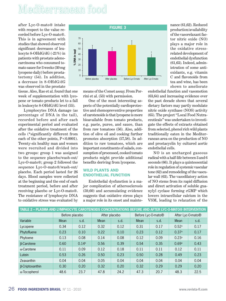# Mediterranean food

after Lyc-O-mato® intake with respect to the value recorded before Lyc-O-mato®. This is in agreement with studies that showed observed significant decreases of leukocyte 8-OHdG/dG (-21%) in patients with prostate adenocarcinoma who consumed tomato sauce for 3 weeks (30 mg lycopene daily) before prostatectomy (54). In addition, a decrease in 8-OHdG/dG was observed in the prostate

tissue. Also, Rao et al. found that one week of supplementation with lycopene or tomato products let to a fall in leukocyte 8-OHdG/dG level (55).

Lymphocytes DNA damage (as percentage of DNA in the tail), recorded before and after each experimental period and evaluated after the oxidative treatment of the cells (\*significantly different from each of the other points, P<0.0001). Twenty-six healthy man and women were recruited and divided into two groups: group 1 was assigned to the sequence placebo/wash-out/ Lyc-O-mato®; group 2 followed the sequence Lyc-O-mato®/wash-out/ placebo. Each period lasted for 26 days. Blood samples were collected at the beginning and the end of each treatment period, before and after receiving placebo or Lyc-O-mato®. The resistance of lymphocyte DNA to oxidative stress was evaluated by



means of the Comet assay. From Porrini et al. (53) with permission.

One of the most interesting aspects of the potentially cardioprotective and chemopreventive properties of carotenoids is that lycopene is more bioavailable from tomato products, e.g. paste, puree, and sauce, than from raw tomatoes (56). Also, addition of olive oil and cooking further promotes absorption (57,58). In addition to raw tomatoes, which are important constituents of salads, consumption of processed, cooked tomato products might provide additional benefits deriving from lycopene.

### **Wild plants and endothelial function**

Endothelial dysfunction is a major complication of atherosclerosis (59,60) and accumulating evidence suggests that oxidative stress plays a major role in its onset and maintenance (61,62). Reduced production/availability of the vasorelaxant factor nitric oxide (NO) plays a major role in the oxidative stressrelated development of endothelial dysfunction (61,63). Indeed, administration of some antioxidants, e.g. vitamin C and flavonoids from tea and wine, has been shown to ameliorate

endothelial function and vasomotion (63,64) and increasing evidence over the past decade shows that several dietary factors may partly modulate nitric oxide synthase (NOS) activity (65). The project "Local Food Nutraceuticals" was undertaken to investigate the effects of extracts obtained from selected, phenol rich wild plants traditionally eaten in the Mediterranean area on the production of NO and prostacyclin by cultured aortic endothelial cells.

NO is an uncharged gaseous radical with a half-life between 3 and 6 seconds (66). It plays a quintessential role in regulation of systemic vascular tone (62) and remodeling of the vascular wall (63). The vasodilatory action of NO stems from its rapid diffusion and direct activation of soluble guanylyl cyclase forming cGMP which lowers intracellular calcium in the VSM, leading to relaxation of the

| TABLE 2 - PLASMA AND LYMPHOCYTE CAROTENOIDS CONCENTRATIONS BEFORE AND AFTER LYC-O-MATO® INTERVENTION |      |                   |               |      |                                |      |                               |      |  |  |
|------------------------------------------------------------------------------------------------------|------|-------------------|---------------|------|--------------------------------|------|-------------------------------|------|--|--|
|                                                                                                      |      | Before placebo    | After placebo |      | Before Lyc-O-mato <sup>®</sup> |      | After Lyc-O-mato <sup>®</sup> |      |  |  |
| Variable                                                                                             | Mean | s.d.              | Mean          | s.d. | Mean                           | s.d. | Mean                          | s.d. |  |  |
| Lycopene                                                                                             | 0.34 | 0.12              | 0.32          | 0.12 | 0.31                           | 0.17 | 0.52a                         | 0.17 |  |  |
| Phytofluene                                                                                          | 0.23 | 0.10              | 0.22          | 0.10 | 0.23                           | 0.12 | 0.37a                         | 0.17 |  |  |
| Phytoene                                                                                             | 0.13 | 0.08              | 0.14          | 0.08 | 0.12                           | 0.09 | 0.23a                         | 0.16 |  |  |
| <b>B-Carotene</b>                                                                                    | 0.60 | 0.14 <sup>b</sup> | 0.56          | 0.39 | 0.54                           | 0.35 | 0.69a                         | 0.43 |  |  |
| $\alpha$ -Carotene                                                                                   | 0.11 | 0.09              | 0.12          | 0.18 | 0.11                           | 0.11 | 0.12                          | 0.11 |  |  |
| Lutein                                                                                               | 0.53 | 0.26              | 0.50          | 0.23 | 0.50                           | 0.28 | 0.49                          | 0.23 |  |  |
| Zeaxanthin                                                                                           | 0.04 | 0.04              | 0.05          | 0.04 | 0.04                           | 0.04 | 0.04                          | 0.04 |  |  |
| β-Criptoxanthin                                                                                      | 0.30 | 0.20              | 0.32          | 0.20 | 0.32                           | 0.29 | 0.29                          | 0.20 |  |  |
| $\alpha$ -Tocopherol                                                                                 | 48.6 | 23.7              | 47.8          | 24.2 | 47.3                           | 20.7 | 48.3                          | 22.5 |  |  |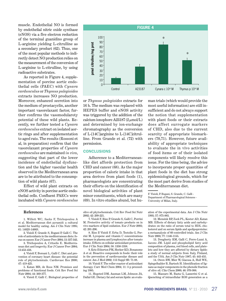muscle. Endothelial NO is formed by endothelial nitric oxide synthase (eNOS) via a five electron reduction of the terminal guanidino group of L-arginine yielding L-citrulline as a secondary product (62). Thus, one of the most popular methods to indirectly detect NO production relies on the measurement of the conversion of L-arginine to L-citrulline, by using radioactive substrates.

As reported in Figure 4, supplementation of porcine aortic endothelial cells (PAEC) with *Cynara cardunculus* or *Thymus pulegioides* extracts increases NO production. Moreover, enhanced secretion into the medium of prostacyclin, another important vasorelaxant factor, further confirms the vasomodularoty potential of these wild plants. Recently, we further tested a *Cynara cardunculus* extract on isolated aortic rings and after supplementation to aged rats. The results (Rossoni et al, in preparation) confirm that the vasorelaxant properties of *Cynara cardunculus* are maintained *in vivo*, suggesting that part of the lower incidence of endothelial dysfunction and the higher vascular health observed in the Mediterranean area are to be attributed to the consumption of wild plants (67).

Effect of wild plant extracts on eNOS activity in porcine aortic endothelial cells. Confluent PAECs were incubated with *Cynara cardunculus*



or *Thymus pulegioides* extracts for 16 h. The medium was replaced with HEPES buffer and eNOS activity was triggered by the addition of the calcium ionophore A23187 ( $2 \mu$ mol/L) and determined by ion-exchange chromatography as the conversion of L-[14C]arginine to L-[14C]citrulline. From Grande et al. (72) with permission.

#### **Conclusions**

Adherence to a Mediterraneanlike diet affords protection from CHD and cancer (68). As the major proportion of caloric intake in that area derives from plant foods (1), pharmacologists are concentrating their efforts on the identification of novel biological activities of plant minor constituents, which are many (69). In vitro studies abund, but human trials (which would provide the most useful information) are still insufficient and do not always support the notion that supplementation with plant foods or their extracts does affect surrogate markers of CHD, also due to the current scarcity of appropriate biomarkers (70,71). However, future availability of appropriate techniques to evaluate the in vivo activities of food items or of their isolated components will likely resolve this issue. For the time being, the advice to incorporate proper quantities of plant foods in the diet has strong epidemiological grounds, which for the most part derive from studies of the Mediterranean diet.

F. Visioli, P. Bogani, S. Grande, C. Galli - Department of Pharmacological Sciences - University of Milan, Italy.

#### **References**

1. Willett WC, Sacks F, Trichopoulou A et al. Mediterranean diet pyramid: a cultural model for healthy eating. Am J Clin Nutr 1995; 61: 1402S-1406S.

2. Visioli F, Grande S, Bogani P, Galli C. The role of antioxidants in the mediterranean diets: focus on cancer. Eur J Cancer Prev 2004; 13: 337-343.

3. Trichopoulou A, Critselis E. Mediterranean diet and longevity. Eur J Cancer Prev 2004; 13:453-456.

4. Visioli F, Borsani L, Galli C. Diet and prevention of coronary heart disease: the potential role of phytochemicals. Cardiovasc Res 2000; 47: 419-425.

5. Katan MB, de Roos NM. Promises and problems of functional foods. Crit Rev Food Sci Nutr 2004; 44: 369-377.

6. Visioli F, Galli C. Biological properties of

olive oil phytochemicals. Crit Rev Food Sci Nutr 2002; 42: 209-221.

7. Visioli F, Riso P, Grande S, Galli C, Porrini M. Protective activity of tomato products on in vivo markers of lipid oxidation. Eur J Nutr 2003; 42: 201-206.

8. Riso P, Visioli F, Erba D, Testolin G, Porrini M. Lycopene and vitamin C concentrations increase in plasma and lymphocytes after tomato intake. Effects on cellular antioxidant protection. Eur J Clin Nutr 2004; 58: 1350-1358.

9. Kris-Etherton PM, Hecker KD, Bonanome A et al. Bioactive compounds in foods: their role in the prevention of cardiovascular disease and cancer. Am J Med 2002; 113 Suppl 9B: 71-88.

10. Visioli F. The roller coaster of antioxidant therapy. Curr Med Chem 2004; 11: 3 p preceeding 1085.

11. Hegsted DM, Ausman LM, Johnson JA, Dallal GE. Dietary fat and serum lipids: an evaluation of the experimental data. Am J Clin Nutr 1993; 57: 875-883.

12. Mensink RP, Zock PL, Kester AD, Katan MB. Effects of dietary fatty acids and carbohydrates on the ratio of serum total to HDL cholesterol and on serum lipids and apolipoproteins: a metaanalysis of 60 controlled trials. Am J Clin Nutr 2003; 77: 1146-1155.

13. Dougherty RM, Galli C, Ferro-Luzzi A, Iacono JM. Lipid and phospholipid fatty acid composition of plasma, red blood cells, and platelets and how they are affected by dietary lipids: a study of normal subjects from Italy, Finland, and the USA. Am J Clin Nutr 1987; 45: 443-455.

14. Owen RW, Mier W, Giacosa A, Hull WE, Spiegelhalder B, Bartsch H. Identification of lignans as major components in the phenolic fraction of olive oil. Clin Chem 2000; 46: 976-988.

15. Massaro M, Basta G, Lazzerini G et al. Quenching of intracellular ROS generation as a